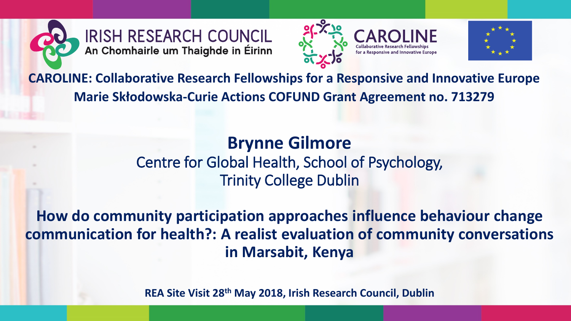

**IRISH RESEARCH COUNCIL** An Chomhairle um Thaighde in Éirinn





**CAROLINE: Collaborative Research Fellowships for a Responsive and Innovative Europe Marie Skłodowska-Curie Actions COFUND Grant Agreement no. 713279**

#### **Brynne Gilmore** Centre for Global Health, School of Psychology, Trinity College Dublin

**How do community participation approaches influence behaviour change communication for health?: A realist evaluation of community conversations in Marsabit, Kenya**

**REA Site Visit 28th May 2018, Irish Research Council, Dublin**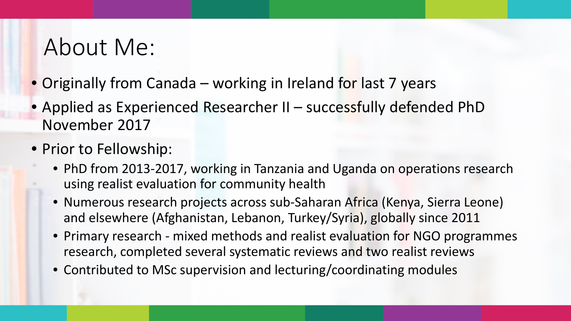### About Me:

- Originally from Canada working in Ireland for last 7 years
- Applied as Experienced Researcher II successfully defended PhD November 2017
- Prior to Fellowship:
	- PhD from 2013-2017, working in Tanzania and Uganda on operations research using realist evaluation for community health
	- Numerous research projects across sub-Saharan Africa (Kenya, Sierra Leone) and elsewhere (Afghanistan, Lebanon, Turkey/Syria), globally since 2011
	- Primary research mixed methods and realist evaluation for NGO programmes research, completed several systematic reviews and two realist reviews
	- Contributed to MSc supervision and lecturing/coordinating modules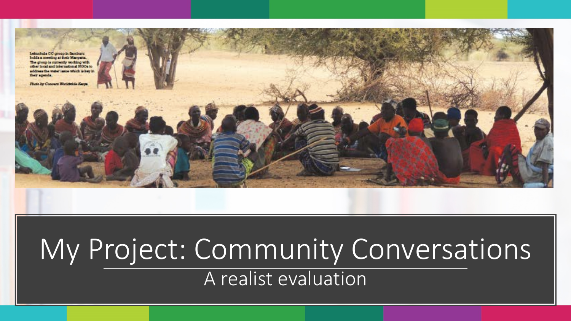

## My Project: Community Conversations A realist evaluation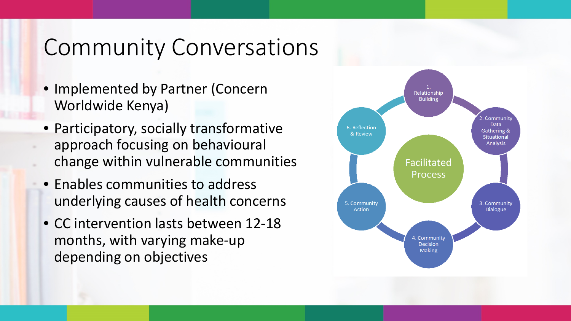## Community Conversations

- Implemented by Partner (Concern Worldwide Kenya)
- Participatory, socially transformative approach focusing on behavioural change within vulnerable communities
- Enables communities to address underlying causes of health concerns
- CC intervention lasts between 12-18 months, with varying make-up depending on objectives

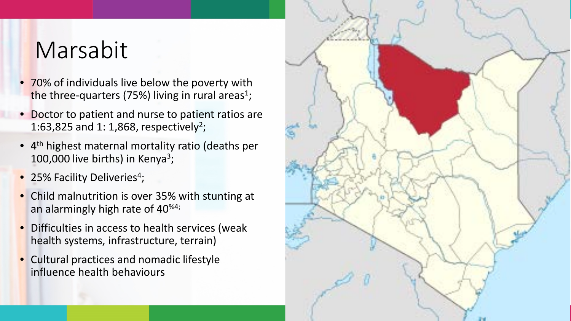## Marsabit

- 70% of individuals live below the poverty with the three-quarters (75%) living in rural areas<sup>1</sup>;
- Doctor to patient and nurse to patient ratios are 1:63,825 and 1: 1,868, respectively<sup>2</sup>;
- 4th highest maternal mortality ratio (deaths per 100,000 live births) in Kenya<sup>3</sup>;
- 25% Facility Deliveries<sup>4</sup>;
- Child malnutrition is over 35% with stunting at an alarmingly high rate of 40%4;
- Difficulties in access to health services (weak health systems, infrastructure, terrain)
- Cultural practices and nomadic lifestyle influence health behaviours

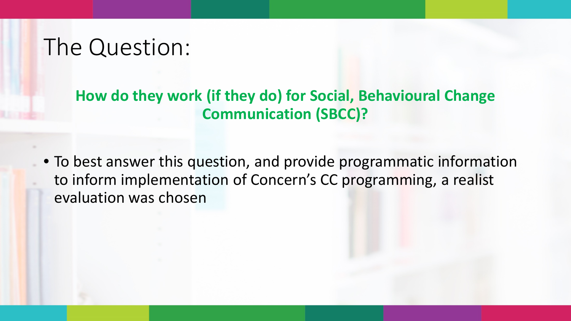## The Question:

#### **How do they work (if they do) for Social, Behavioural Change Communication (SBCC)?**

• To best answer this question, and provide programmatic information to inform implementation of Concern's CC programming, a realist evaluation was chosen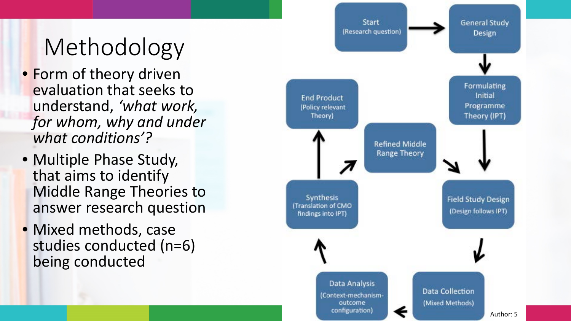## Methodology

- Form of theory driven evaluation that seeks to understand, *'what work, for whom, why and under what conditions'?*
- Multiple Phase Study, that aims to identify Middle Range Theories to answer research question
- Mixed methods, case studies conducted (n=6) being conducted

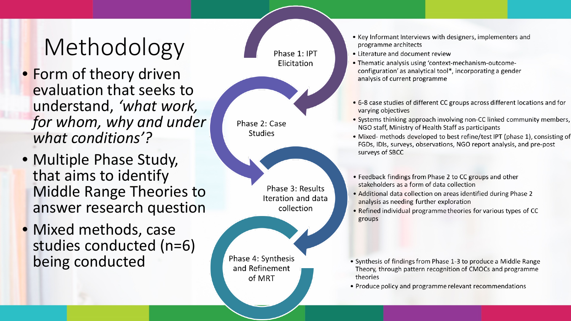# Methodology

- Form of theory driven evaluation that seeks to understand, *'what work, for whom, why and under what conditions'?*
- Multiple Phase Study, that aims to identify Middle Range Theories to answer research question
- Mixed methods, case studies conducted (n=6) being conducted



Phase 3: Results Iteration and data collection

Phase 4: Synthesis and Refinement of MRT

- Key Informant Interviews with designers, implementers and programme architects
- Literature and document review
- Thematic analysis using 'context-mechanism-outcomeconfiguration' as analytical tool\*, incorporating a gender analysis of current programme
- 6-8 case studies of different CC groups across different locations and for varying objectives
- Systems thinking approach involving non-CC linked community members, NGO staff, Ministry of Health Staff as participants
- Mixed- methods developed to best refine/test IPT (phase 1), consisting of FGDs, IDIs, surveys, observations, NGO report analysis, and pre-post surveys of SBCC
- Feedback findings from Phase 2 to CC groups and other stakeholders as a form of data collection
- . Additional data collection on areas identified during Phase 2 analysis as needing further exploration
- Refined individual programme theories for various types of CC groups

- Synthesis of findings from Phase 1-3 to produce a Middle Range Theory, through pattern recognition of CMOCs and programme theories
- Produce policy and programme relevant recommendations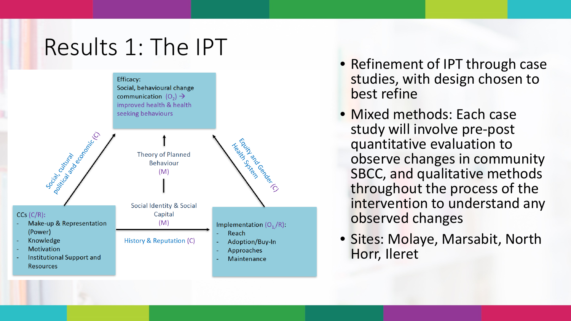## Results 1: The IPT



- Refinement of IPT through case studies, with design chosen to best refine
- Mixed methods: Each case study will involve pre -post quantitative evaluation to observe changes in community SBCC, and qualitative methods throughout the process of the intervention to understand any observed changes
- Sites: Molaye, Marsabit, North Horr, Ileret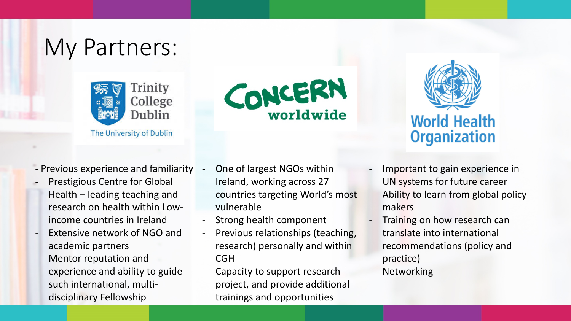## My Partners:



The University of Dublin



- Previous experience and familiarity
- Prestigious Centre for Global Health – leading teaching and research on health within Lowincome countries in Ireland
- Extensive network of NGO and academic partners
- Mentor reputation and experience and ability to guide such international, multidisciplinary Fellowship
- One of largest NGOs within Ireland, working across 27 countries targeting World's most vulnerable
- Strong health component
- Previous relationships (teaching, research) personally and within **CGH**
- Capacity to support research project, and provide additional trainings and opportunities



- Important to gain experience in UN systems for future career
- Ability to learn from global policy makers
- Training on how research can translate into international recommendations (policy and practice)
- **Networking**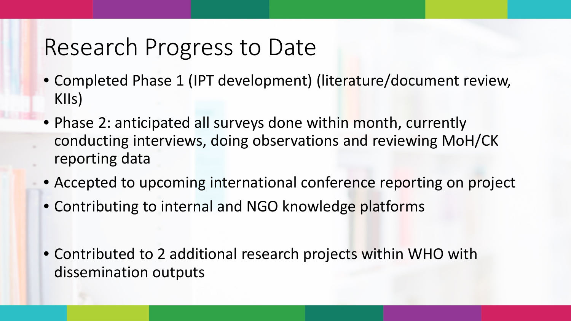## Research Progress to Date

- Completed Phase 1 (IPT development) (literature/document review, KIIs)
- Phase 2: anticipated all surveys done within month, currently conducting interviews, doing observations and reviewing MoH/CK reporting data
- Accepted to upcoming international conference reporting on project
- Contributing to internal and NGO knowledge platforms
- Contributed to 2 additional research projects within WHO with dissemination outputs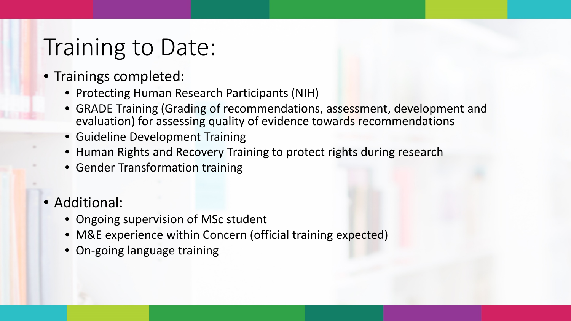## Training to Date:

- Trainings completed:
	- Protecting Human Research Participants (NIH)
	- GRADE Training (Grading of recommendations, assessment, development and evaluation) for assessing quality of evidence towards recommendations
	- Guideline Development Training
	- Human Rights and Recovery Training to protect rights during research
	- Gender Transformation training
- Additional:
	- Ongoing supervision of MSc student
	- M&E experience within Concern (official training expected)
	- On-going language training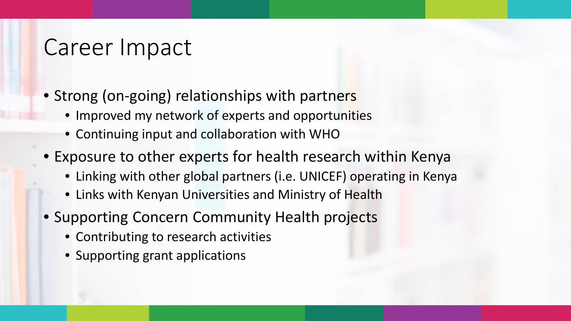### Career Impact

- Strong (on-going) relationships with partners
	- Improved my network of experts and opportunities
	- Continuing input and collaboration with WHO
- Exposure to other experts for health research within Kenya
	- Linking with other global partners (i.e. UNICEF) operating in Kenya
	- Links with Kenyan Universities and Ministry of Health
- Supporting Concern Community Health projects
	- Contributing to research activities
	- Supporting grant applications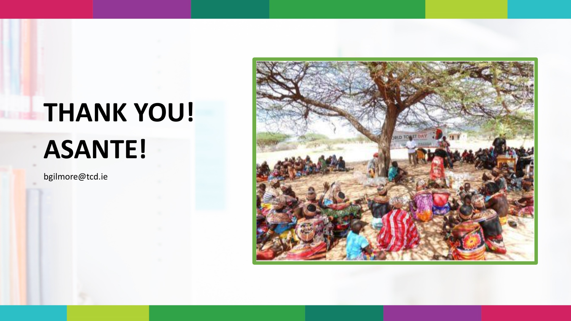# **THANK YOU! ASANTE!**

bgilmore@tcd.ie